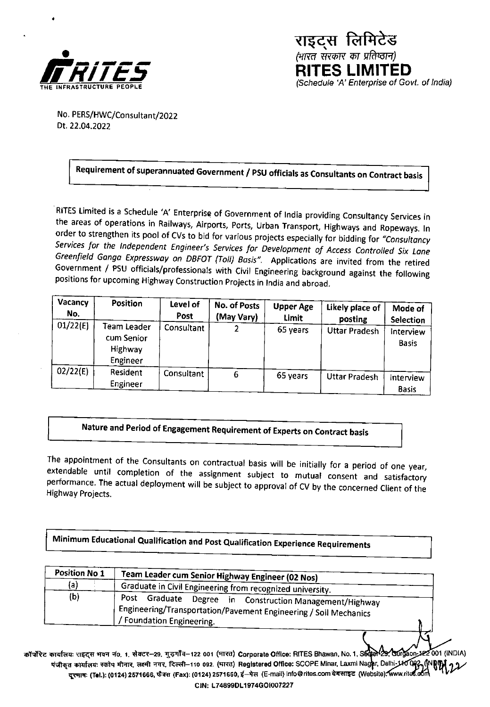

राइट्स लिमिटेड .<br>(भारत सरकार का प्रतिष्ठान) **RITES LIMITED** (Schedule 'A' Enterprise of Govt. of India)

No. PERS/HWC/Consultant/2022 Dt. 22.04.2022

## Requirement of superannuated Government / PSU officials as Consultants on Contract basis

RITES Limited is a Schedule 'A' Enterprise of Government of India providing Consultancy Services in the areas of operations in Railways, Airports, Ports, Urban Transport, Highways and Ropeways. In order to strengthen its pool of CVs to bid for various projects especially for bidding for "Consultancy Services for the Independent Engineer's Services for Development of Access Controlled Six Lane Greenfield Ganga Expressway on DBFOT (Toll) Basis". Applications are invited from the retired Government / PSU officials/professionals with Civil Engineering background against the following positions for upcoming Highway Construction Projects in India and abroad.

| Vacancy<br>No. | <b>Position</b>                                  | Level of<br>Post | No. of Posts<br>(May Vary) | <b>Upper Age</b><br><b>Limit</b> | Likely place of<br>posting | Mode of<br><b>Selection</b> |
|----------------|--------------------------------------------------|------------------|----------------------------|----------------------------------|----------------------------|-----------------------------|
| 01/22(E)       | Team Leader<br>cum Senior<br>Highway<br>Engineer | Consultant       |                            | 65 years                         | <b>Uttar Pradesh</b>       | Interview<br><b>Basis</b>   |
| 02/22(E)       | Resident<br>Engineer                             | Consultant       | 6                          | 65 years                         | <b>Uttar Pradesh</b>       | Interview<br><b>Basis</b>   |

### Nature and Period of Engagement Requirement of Experts on Contract basis

The appointment of the Consultants on contractual basis will be initially for a period of one year, extendable until completion of the assignment subject to mutual consent and satisfactory performance. The actual deployment will be subject to approval of CV by the concerned Client of the **Highway Projects.** 

Minimum Educational Qualification and Post Qualification Experience Requirements

| Position No.1 | Team Leader cum Senior Highway Engineer (02 Nos)<br>Graduate in Civil Engineering from recognized university.                                                 |  |  |  |
|---------------|---------------------------------------------------------------------------------------------------------------------------------------------------------------|--|--|--|
| {a)           |                                                                                                                                                               |  |  |  |
| (b)           | Post Graduate<br>Degree in Construction Management/Highway<br>, Engineering/Transportation/Pavement Engineering / Soil Mechanics<br>/ Foundation Engineering. |  |  |  |

कॉर्पोरेट कार्यालयः राइदस भवन नं0, 1, सेक्टर--29, गुड़गाँव-122 001 (मारत) Corporate Office: RITES Bhawan, No. 1, S60 of 29, Guigaon 122 001 (INDIA) यंजीकृत कार्यालयः स्कोप मीनार, लक्ष्मी नगर, दिल्ली–110 092. (मारत) Registered Office: SCOPE Minar, Laxmi Nagar, Delhi-140 092, दूरमाषः (Tel.): (0124) 2571666, फैक्स (Fax): (0124) 2571660, ई–मेल (E-mail) Info@rites.com वेबसाइट (Website): www.rites.oom CIN: L74899DL1974GOI007227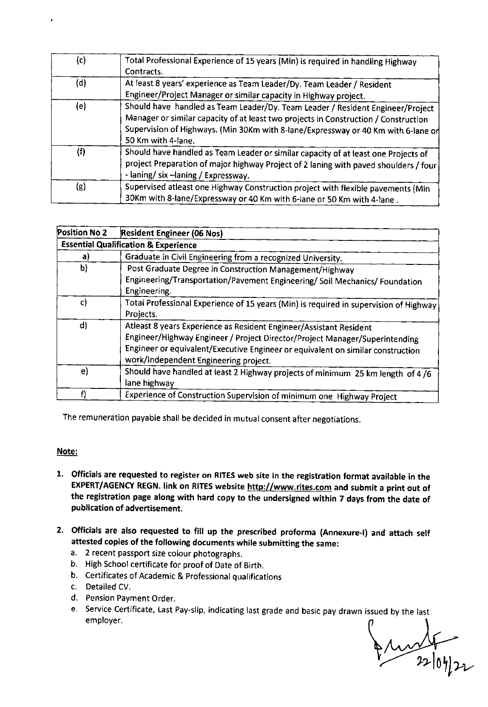| (c) | Total Professional Experience of 15 years (Min) is required in handling Highway<br>Contracts.                                                                                                                                                                                    |
|-----|----------------------------------------------------------------------------------------------------------------------------------------------------------------------------------------------------------------------------------------------------------------------------------|
| (d) | At least 8 years' experience as Team Leader/Dy. Team Leader / Resident<br>Engineer/Project Manager or similar capacity in Highway project.                                                                                                                                       |
| (e) | Should have handled as Team Leader/Dy. Team Leader / Resident Engineer/Project<br>Manager or similar capacity of at least two projects in Construction / Construction<br>Supervision of Highways. (Min 30Km with 8-lane/Expressway or 40 Km with 6-lane of<br>50 Km with 4-lane. |
| (f) | Should have handled as Team Leader or similar capacity of at least one Projects of<br>project Preparation of major highway Project of 2 laning with paved shoulders / four<br>- laning/ six - laning / Expressway.                                                               |
| (g) | Supervised atleast one Highway Construction project with flexible pavements (Min<br>30Km with 8-lane/Expressway or 40 Km with 6-lane or 50 Km with 4-lane.                                                                                                                       |

| Position No 2                                   | Resident Engineer (06 Nos)                                                                                                                                                                                                                                                    |  |  |  |
|-------------------------------------------------|-------------------------------------------------------------------------------------------------------------------------------------------------------------------------------------------------------------------------------------------------------------------------------|--|--|--|
| <b>Essential Qualification &amp; Experience</b> |                                                                                                                                                                                                                                                                               |  |  |  |
| a)                                              | Graduate in Civil Engineering from a recognized University.                                                                                                                                                                                                                   |  |  |  |
| b)                                              | Post Graduate Degree in Construction Management/Highway                                                                                                                                                                                                                       |  |  |  |
|                                                 | Engineering/Transportation/Pavement Engineering/ Soil Mechanics/ Foundation<br>Engineering.                                                                                                                                                                                   |  |  |  |
| C)                                              | Total Professional Experience of 15 years (Min) is required in supervision of Highway<br>Projects.                                                                                                                                                                            |  |  |  |
| $\mathsf{d}$                                    | Atleast 8 years Experience as Resident Engineer/Assistant Resident<br>Engineer/Highway Engineer / Project Director/Project Manager/Superintending<br>Engineer or equivalent/Executive Engineer or equivalent on similar construction<br>work/Independent Engineering project. |  |  |  |
| e)                                              | Should have handled at least 2 Highway projects of minimum 25 km length of 4/6<br>lane highway                                                                                                                                                                                |  |  |  |
|                                                 | Experience of Construction Supervision of minimum one Highway Project                                                                                                                                                                                                         |  |  |  |

The remuneration payable shall be decided in mutual consent after negotiations.

#### Note:

- I. Officials are requested to register on RITES web site in the registration format available in the EXPERT/AGENCY REGN. link on RITES website http://www.rites.com and submit a print out of the registration page along with hard copy to the undersigned within 7 days from the date of publication of advertisement.
- 2. Officials are also requested to fill up the prescribed proforma (Annexure-l) and attach self **attested copies of** the following documents while submitting the same:
	- a. 2 recent passport size colour photographs.
	- b. High School certificate for proof of Date of Birth.
	- b. Certificates of Academic & Professional qualifications
	- c. Detailed CV.
	- d. Pension Payment Order.
	- e. Service Certificate, Last Pay-slip, indicating last grade and basic pay drawn issued by the last employer.

 $\n *22*log22$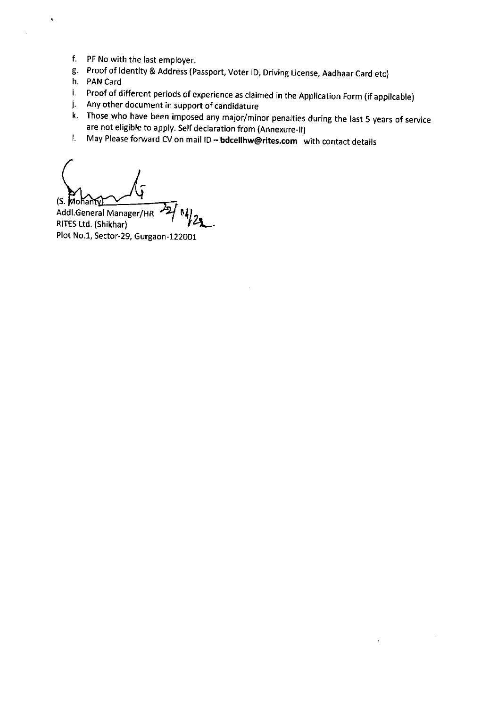- f. PF No with the last employer.
- g. Proof of Identity & Address (Passport, Voter ID, Driving License, Aadhaar Card etc)
- h. PAN Card
- i. Proof of different periods of experience as claimed in the Application Form (if applicable)
- j. Any other document in support of candidature
- k. Those who have been imposed any major/minor penalties during the last 5 years of service are not eligible to apply. Self declaration from (Annexure-11)
- I. May Please forward CV on mail ID bdcellhw@rites.com with contact details

 $(S.$  Mohant $\Omega$ 

Addl.General Manager/HR<br>RITES Ltd. (Shikhar) ''' /'2 Plot No.1, Sector-29, Gurgaon-122001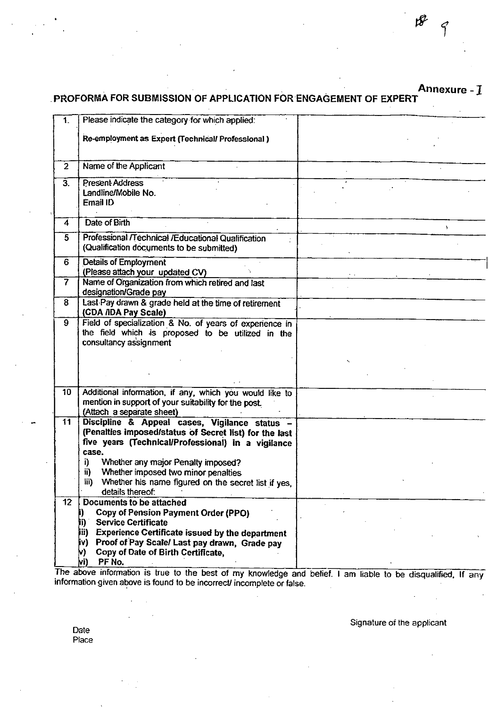# Annexure -  $1$  PROFORMA FOR SUBMISSION OF APPLICATION FOR ENGAGEMENT OF EXPERT

| $\mathbf{1}$        | Please indicate the category for which applied:                                                                                                                                                                                |  |  |  |
|---------------------|--------------------------------------------------------------------------------------------------------------------------------------------------------------------------------------------------------------------------------|--|--|--|
|                     | Re-employment as Expert (Technical/ Professional)                                                                                                                                                                              |  |  |  |
| $\overline{2}$      | Name of the Applicant                                                                                                                                                                                                          |  |  |  |
| $\overline{3}$ .    | <b>Present Address</b><br>Landline/Mobile No.<br>Email ID                                                                                                                                                                      |  |  |  |
| $\overline{\bf{4}}$ | Date of Birth                                                                                                                                                                                                                  |  |  |  |
| 5.                  | Professional /Technical /Educational Qualification<br>(Qualification documents to be submitted)                                                                                                                                |  |  |  |
| 6                   | <b>Details of Employment</b><br>(Please attach your updated CV)                                                                                                                                                                |  |  |  |
| $\overline{7}$      | Name of Organization from which retired and last<br>designation/Grade pay                                                                                                                                                      |  |  |  |
| 8                   | Last Pay drawn & grade held at the time of retirement<br>(CDA /IDA Pay Scale)                                                                                                                                                  |  |  |  |
| 9                   | Field of specialization & No. of years of experience in<br>the field which is proposed to be utilized in the<br>consultancy assignment                                                                                         |  |  |  |
|                     |                                                                                                                                                                                                                                |  |  |  |
| 10 <sub>1</sub>     | Additional information, if any, which you would like to<br>mention in support of your suitability for the post.<br>(Attach a separate sheet)                                                                                   |  |  |  |
| 11                  | Discipline & Appeal cases, Vigilance status -<br>(Penalties imposed/status of Secret list) for the last<br>five years (Technical/Professional) in a vigilance<br>case.                                                         |  |  |  |
|                     | Whether any major Penalty imposed?<br>i)<br>Whether imposed two minor penalties<br>ii)<br>iii)<br>Whether his name figured on the secret list if yes,<br>details thereof:                                                      |  |  |  |
| $12^{\circ}$        | Documents to be attached<br>Copy of Pension Payment Order (PPO)<br><b>Service Certificate</b><br>ji)<br><b>Experience Certificate issued by the department</b><br>Jii)<br>Proof of Pay Scale/ Last pay drawn, Grade pay<br>jv) |  |  |  |

The above information is true to the best of my knowledge and information given above is found to be incorrect/ incomplete or false. I am liable to be disqualified, If any

Signature of the applicant

Date Place